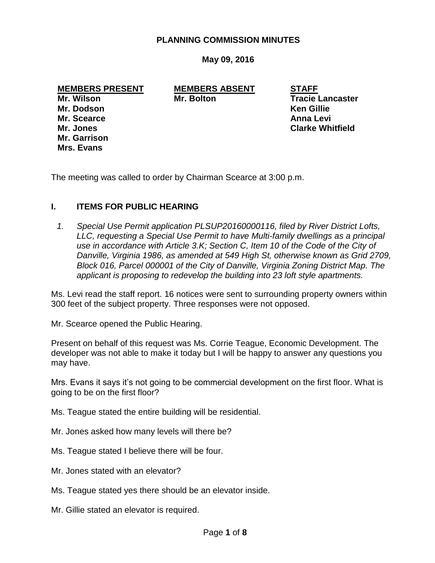#### **PLANNING COMMISSION MINUTES**

**May 09, 2016**

**MEMBERS PRESENT MEMBERS ABSENT STAFF Mr. Wilson Mr. Bolton Tracie Lancaster Mr. Dodson Ken Gillie Mr. Scearce Anna Levi Mr. Jones Clarke Whitfield**

**Mr. Garrison Mrs. Evans**

The meeting was called to order by Chairman Scearce at 3:00 p.m.

### **I. ITEMS FOR PUBLIC HEARING**

*1. Special Use Permit application PLSUP20160000116, filed by River District Lofts, LLC, requesting a Special Use Permit to have Multi-family dwellings as a principal use in accordance with Article 3.K; Section C, Item 10 of the Code of the City of Danville, Virginia 1986, as amended at 549 High St, otherwise known as Grid 2709, Block 016, Parcel 000001 of the City of Danville, Virginia Zoning District Map. The applicant is proposing to redevelop the building into 23 loft style apartments.* 

Ms. Levi read the staff report. 16 notices were sent to surrounding property owners within 300 feet of the subject property. Three responses were not opposed.

Mr. Scearce opened the Public Hearing.

Present on behalf of this request was Ms. Corrie Teague, Economic Development. The developer was not able to make it today but I will be happy to answer any questions you may have.

Mrs. Evans it says it's not going to be commercial development on the first floor. What is going to be on the first floor?

Ms. Teague stated the entire building will be residential.

- Mr. Jones asked how many levels will there be?
- Ms. Teague stated I believe there will be four.
- Mr. Jones stated with an elevator?
- Ms. Teague stated yes there should be an elevator inside.
- Mr. Gillie stated an elevator is required.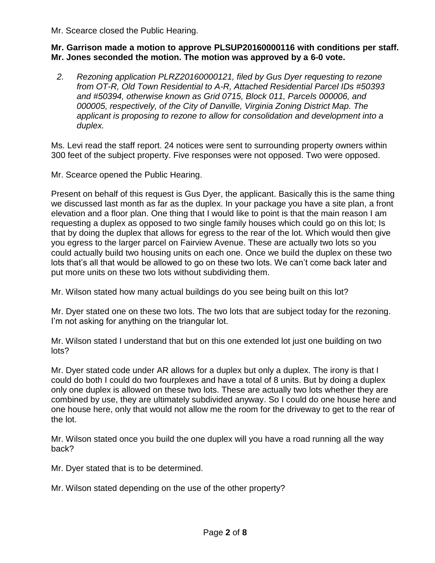Mr. Scearce closed the Public Hearing.

### **Mr. Garrison made a motion to approve PLSUP20160000116 with conditions per staff. Mr. Jones seconded the motion. The motion was approved by a 6-0 vote.**

*2. Rezoning application PLRZ20160000121, filed by Gus Dyer requesting to rezone from OT-R, Old Town Residential to A-R, Attached Residential Parcel IDs #50393 and #50394, otherwise known as Grid 0715, Block 011, Parcels 000006, and 000005, respectively, of the City of Danville, Virginia Zoning District Map. The applicant is proposing to rezone to allow for consolidation and development into a duplex.* 

Ms. Levi read the staff report. 24 notices were sent to surrounding property owners within 300 feet of the subject property. Five responses were not opposed. Two were opposed.

Mr. Scearce opened the Public Hearing.

Present on behalf of this request is Gus Dyer, the applicant. Basically this is the same thing we discussed last month as far as the duplex. In your package you have a site plan, a front elevation and a floor plan. One thing that I would like to point is that the main reason I am requesting a duplex as opposed to two single family houses which could go on this lot; Is that by doing the duplex that allows for egress to the rear of the lot. Which would then give you egress to the larger parcel on Fairview Avenue. These are actually two lots so you could actually build two housing units on each one. Once we build the duplex on these two lots that's all that would be allowed to go on these two lots. We can't come back later and put more units on these two lots without subdividing them.

Mr. Wilson stated how many actual buildings do you see being built on this lot?

Mr. Dyer stated one on these two lots. The two lots that are subject today for the rezoning. I'm not asking for anything on the triangular lot.

Mr. Wilson stated I understand that but on this one extended lot just one building on two lots?

Mr. Dyer stated code under AR allows for a duplex but only a duplex. The irony is that I could do both I could do two fourplexes and have a total of 8 units. But by doing a duplex only one duplex is allowed on these two lots. These are actually two lots whether they are combined by use, they are ultimately subdivided anyway. So I could do one house here and one house here, only that would not allow me the room for the driveway to get to the rear of the lot.

Mr. Wilson stated once you build the one duplex will you have a road running all the way back?

Mr. Dyer stated that is to be determined.

Mr. Wilson stated depending on the use of the other property?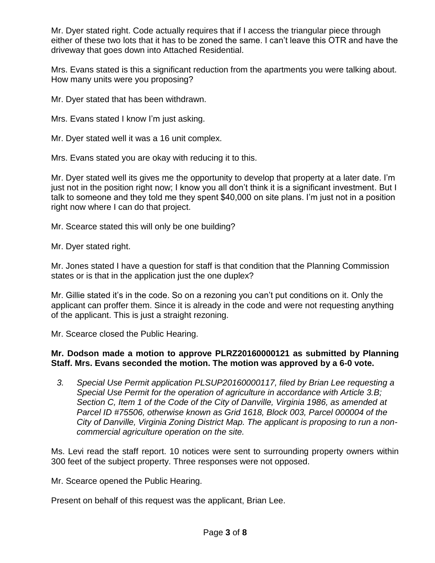Mr. Dyer stated right. Code actually requires that if I access the triangular piece through either of these two lots that it has to be zoned the same. I can't leave this OTR and have the driveway that goes down into Attached Residential.

Mrs. Evans stated is this a significant reduction from the apartments you were talking about. How many units were you proposing?

Mr. Dyer stated that has been withdrawn.

Mrs. Evans stated I know I'm just asking.

Mr. Dyer stated well it was a 16 unit complex.

Mrs. Evans stated you are okay with reducing it to this.

Mr. Dyer stated well its gives me the opportunity to develop that property at a later date. I'm just not in the position right now; I know you all don't think it is a significant investment. But I talk to someone and they told me they spent \$40,000 on site plans. I'm just not in a position right now where I can do that project.

Mr. Scearce stated this will only be one building?

Mr. Dyer stated right.

Mr. Jones stated I have a question for staff is that condition that the Planning Commission states or is that in the application just the one duplex?

Mr. Gillie stated it's in the code. So on a rezoning you can't put conditions on it. Only the applicant can proffer them. Since it is already in the code and were not requesting anything of the applicant. This is just a straight rezoning.

Mr. Scearce closed the Public Hearing.

## **Mr. Dodson made a motion to approve PLRZ20160000121 as submitted by Planning Staff. Mrs. Evans seconded the motion. The motion was approved by a 6-0 vote.**

*3. Special Use Permit application PLSUP20160000117, filed by Brian Lee requesting a Special Use Permit for the operation of agriculture in accordance with Article 3.B; Section C, Item 1 of the Code of the City of Danville, Virginia 1986, as amended at Parcel ID #75506, otherwise known as Grid 1618, Block 003, Parcel 000004 of the City of Danville, Virginia Zoning District Map. The applicant is proposing to run a noncommercial agriculture operation on the site.* 

Ms. Levi read the staff report. 10 notices were sent to surrounding property owners within 300 feet of the subject property. Three responses were not opposed.

Mr. Scearce opened the Public Hearing.

Present on behalf of this request was the applicant, Brian Lee.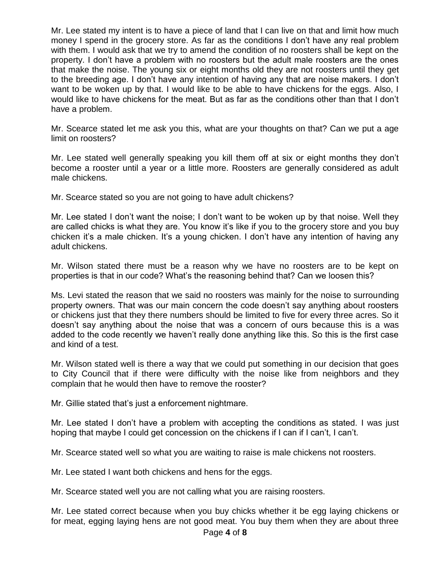Mr. Lee stated my intent is to have a piece of land that I can live on that and limit how much money I spend in the grocery store. As far as the conditions I don't have any real problem with them. I would ask that we try to amend the condition of no roosters shall be kept on the property. I don't have a problem with no roosters but the adult male roosters are the ones that make the noise. The young six or eight months old they are not roosters until they get to the breeding age. I don't have any intention of having any that are noise makers. I don't want to be woken up by that. I would like to be able to have chickens for the eggs. Also, I would like to have chickens for the meat. But as far as the conditions other than that I don't have a problem.

Mr. Scearce stated let me ask you this, what are your thoughts on that? Can we put a age limit on roosters?

Mr. Lee stated well generally speaking you kill them off at six or eight months they don't become a rooster until a year or a little more. Roosters are generally considered as adult male chickens.

Mr. Scearce stated so you are not going to have adult chickens?

Mr. Lee stated I don't want the noise; I don't want to be woken up by that noise. Well they are called chicks is what they are. You know it's like if you to the grocery store and you buy chicken it's a male chicken. It's a young chicken. I don't have any intention of having any adult chickens.

Mr. Wilson stated there must be a reason why we have no roosters are to be kept on properties is that in our code? What's the reasoning behind that? Can we loosen this?

Ms. Levi stated the reason that we said no roosters was mainly for the noise to surrounding property owners. That was our main concern the code doesn't say anything about roosters or chickens just that they there numbers should be limited to five for every three acres. So it doesn't say anything about the noise that was a concern of ours because this is a was added to the code recently we haven't really done anything like this. So this is the first case and kind of a test.

Mr. Wilson stated well is there a way that we could put something in our decision that goes to City Council that if there were difficulty with the noise like from neighbors and they complain that he would then have to remove the rooster?

Mr. Gillie stated that's just a enforcement nightmare.

Mr. Lee stated I don't have a problem with accepting the conditions as stated. I was just hoping that maybe I could get concession on the chickens if I can if I can't, I can't.

Mr. Scearce stated well so what you are waiting to raise is male chickens not roosters.

Mr. Lee stated I want both chickens and hens for the eggs.

Mr. Scearce stated well you are not calling what you are raising roosters.

Mr. Lee stated correct because when you buy chicks whether it be egg laying chickens or for meat, egging laying hens are not good meat. You buy them when they are about three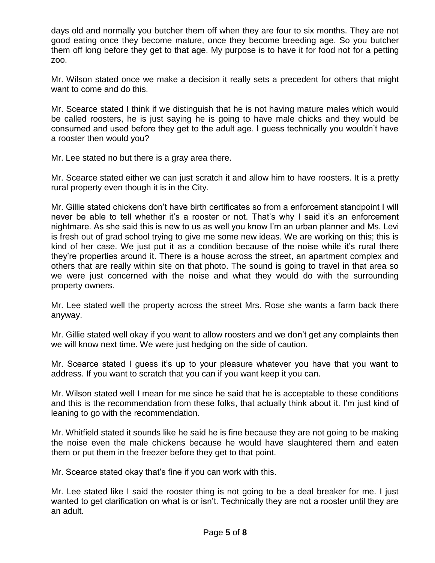days old and normally you butcher them off when they are four to six months. They are not good eating once they become mature, once they become breeding age. So you butcher them off long before they get to that age. My purpose is to have it for food not for a petting zoo.

Mr. Wilson stated once we make a decision it really sets a precedent for others that might want to come and do this.

Mr. Scearce stated I think if we distinguish that he is not having mature males which would be called roosters, he is just saying he is going to have male chicks and they would be consumed and used before they get to the adult age. I guess technically you wouldn't have a rooster then would you?

Mr. Lee stated no but there is a gray area there.

Mr. Scearce stated either we can just scratch it and allow him to have roosters. It is a pretty rural property even though it is in the City.

Mr. Gillie stated chickens don't have birth certificates so from a enforcement standpoint I will never be able to tell whether it's a rooster or not. That's why I said it's an enforcement nightmare. As she said this is new to us as well you know I'm an urban planner and Ms. Levi is fresh out of grad school trying to give me some new ideas. We are working on this; this is kind of her case. We just put it as a condition because of the noise while it's rural there they're properties around it. There is a house across the street, an apartment complex and others that are really within site on that photo. The sound is going to travel in that area so we were just concerned with the noise and what they would do with the surrounding property owners.

Mr. Lee stated well the property across the street Mrs. Rose she wants a farm back there anyway.

Mr. Gillie stated well okay if you want to allow roosters and we don't get any complaints then we will know next time. We were just hedging on the side of caution.

Mr. Scearce stated I guess it's up to your pleasure whatever you have that you want to address. If you want to scratch that you can if you want keep it you can.

Mr. Wilson stated well I mean for me since he said that he is acceptable to these conditions and this is the recommendation from these folks, that actually think about it. I'm just kind of leaning to go with the recommendation.

Mr. Whitfield stated it sounds like he said he is fine because they are not going to be making the noise even the male chickens because he would have slaughtered them and eaten them or put them in the freezer before they get to that point.

Mr. Scearce stated okay that's fine if you can work with this.

Mr. Lee stated like I said the rooster thing is not going to be a deal breaker for me. I just wanted to get clarification on what is or isn't. Technically they are not a rooster until they are an adult.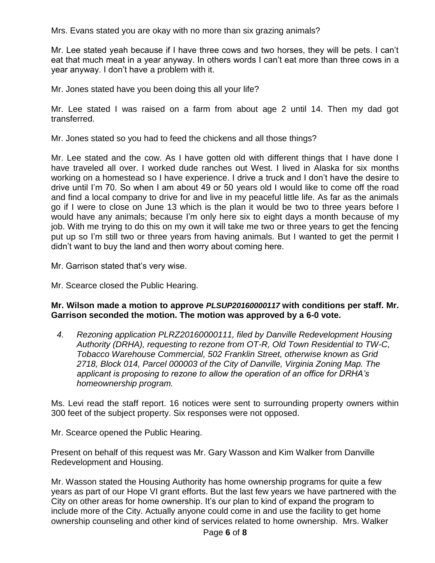Mrs. Evans stated you are okay with no more than six grazing animals?

Mr. Lee stated yeah because if I have three cows and two horses, they will be pets. I can't eat that much meat in a year anyway. In others words I can't eat more than three cows in a year anyway. I don't have a problem with it.

Mr. Jones stated have you been doing this all your life?

Mr. Lee stated I was raised on a farm from about age 2 until 14. Then my dad got transferred.

Mr. Jones stated so you had to feed the chickens and all those things?

Mr. Lee stated and the cow. As I have gotten old with different things that I have done I have traveled all over. I worked dude ranches out West. I lived in Alaska for six months working on a homestead so I have experience. I drive a truck and I don't have the desire to drive until I'm 70. So when I am about 49 or 50 years old I would like to come off the road and find a local company to drive for and live in my peaceful little life. As far as the animals go if I were to close on June 13 which is the plan it would be two to three years before I would have any animals; because I'm only here six to eight days a month because of my job. With me trying to do this on my own it will take me two or three years to get the fencing put up so I'm still two or three years from having animals. But I wanted to get the permit I didn't want to buy the land and then worry about coming here.

Mr. Garrison stated that's very wise.

Mr. Scearce closed the Public Hearing.

## **Mr. Wilson made a motion to approve** *PLSUP20160000117* **with conditions per staff. Mr. Garrison seconded the motion. The motion was approved by a 6-0 vote.**

*4. Rezoning application PLRZ20160000111, filed by Danville Redevelopment Housing Authority (DRHA), requesting to rezone from OT-R, Old Town Residential to TW-C, Tobacco Warehouse Commercial, 502 Franklin Street, otherwise known as Grid 2718, Block 014, Parcel 000003 of the City of Danville, Virginia Zoning Map. The applicant is proposing to rezone to allow the operation of an office for DRHA's homeownership program.* 

Ms. Levi read the staff report. 16 notices were sent to surrounding property owners within 300 feet of the subject property. Six responses were not opposed.

Mr. Scearce opened the Public Hearing.

Present on behalf of this request was Mr. Gary Wasson and Kim Walker from Danville Redevelopment and Housing.

Mr. Wasson stated the Housing Authority has home ownership programs for quite a few years as part of our Hope VI grant efforts. But the last few years we have partnered with the City on other areas for home ownership. It's our plan to kind of expand the program to include more of the City. Actually anyone could come in and use the facility to get home ownership counseling and other kind of services related to home ownership. Mrs. Walker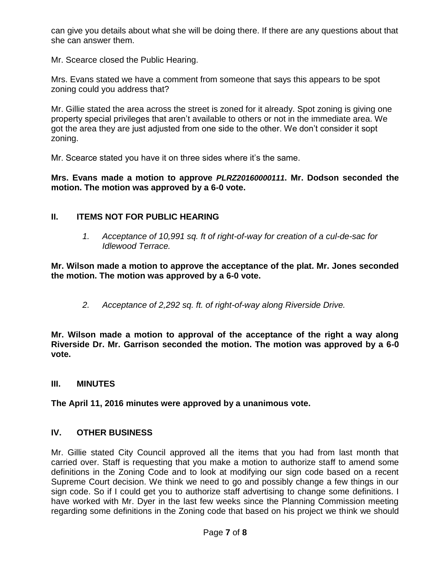can give you details about what she will be doing there. If there are any questions about that she can answer them.

Mr. Scearce closed the Public Hearing.

Mrs. Evans stated we have a comment from someone that says this appears to be spot zoning could you address that?

Mr. Gillie stated the area across the street is zoned for it already. Spot zoning is giving one property special privileges that aren't available to others or not in the immediate area. We got the area they are just adjusted from one side to the other. We don't consider it sopt zoning.

Mr. Scearce stated you have it on three sides where it's the same.

**Mrs. Evans made a motion to approve** *PLRZ20160000111***. Mr. Dodson seconded the motion. The motion was approved by a 6-0 vote.**

# **II. ITEMS NOT FOR PUBLIC HEARING**

*1. Acceptance of 10,991 sq. ft of right-of-way for creation of a cul-de-sac for Idlewood Terrace.* 

**Mr. Wilson made a motion to approve the acceptance of the plat. Mr. Jones seconded the motion. The motion was approved by a 6-0 vote.**

*2. Acceptance of 2,292 sq. ft. of right-of-way along Riverside Drive.*

**Mr. Wilson made a motion to approval of the acceptance of the right a way along Riverside Dr. Mr. Garrison seconded the motion. The motion was approved by a 6-0 vote.**

### **III. MINUTES**

**The April 11, 2016 minutes were approved by a unanimous vote.**

### **IV. OTHER BUSINESS**

Mr. Gillie stated City Council approved all the items that you had from last month that carried over. Staff is requesting that you make a motion to authorize staff to amend some definitions in the Zoning Code and to look at modifying our sign code based on a recent Supreme Court decision. We think we need to go and possibly change a few things in our sign code. So if I could get you to authorize staff advertising to change some definitions. I have worked with Mr. Dyer in the last few weeks since the Planning Commission meeting regarding some definitions in the Zoning code that based on his project we think we should